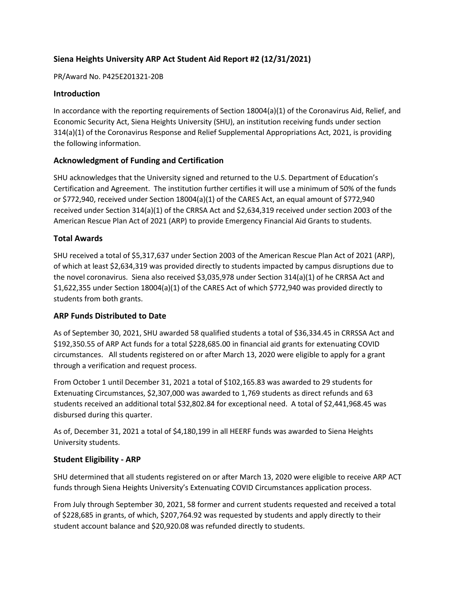# **Siena Heights University ARP Act Student Aid Report #2 (12/31/2021)**

PR/Award No. P425E201321-20B

# **Introduction**

In accordance with the reporting requirements of Section 18004(a)(1) of the Coronavirus Aid, Relief, and Economic Security Act, Siena Heights University (SHU), an institution receiving funds under section 314(a)(1) of the Coronavirus Response and Relief Supplemental Appropriations Act, 2021, is providing the following information.

# **Acknowledgment of Funding and Certification**

SHU acknowledges that the University signed and returned to the U.S. Department of Education's Certification and Agreement. The institution further certifies it will use a minimum of 50% of the funds or \$772,940, received under Section 18004(a)(1) of the CARES Act, an equal amount of \$772,940 received under Section 314(a)(1) of the CRRSA Act and \$2,634,319 received under section 2003 of the American Rescue Plan Act of 2021 (ARP) to provide Emergency Financial Aid Grants to students.

# **Total Awards**

SHU received a total of \$5,317,637 under Section 2003 of the American Rescue Plan Act of 2021 (ARP), of which at least \$2,634,319 was provided directly to students impacted by campus disruptions due to the novel coronavirus. Siena also received \$3,035,978 under Section 314(a)(1) of he CRRSA Act and \$1,622,355 under Section 18004(a)(1) of the CARES Act of which \$772,940 was provided directly to students from both grants.

### **ARP Funds Distributed to Date**

As of September 30, 2021, SHU awarded 58 qualified students a total of \$36,334.45 in CRRSSA Act and \$192,350.55 of ARP Act funds for a total \$228,685.00 in financial aid grants for extenuating COVID circumstances. All students registered on or after March 13, 2020 were eligible to apply for a grant through a verification and request process.

From October 1 until December 31, 2021 a total of \$102,165.83 was awarded to 29 students for Extenuating Circumstances, \$2,307,000 was awarded to 1,769 students as direct refunds and 63 students received an additional total \$32,802.84 for exceptional need. A total of \$2,441,968.45 was disbursed during this quarter.

As of, December 31, 2021 a total of \$4,180,199 in all HEERF funds was awarded to Siena Heights University students.

### **Student Eligibility - ARP**

SHU determined that all students registered on or after March 13, 2020 were eligible to receive ARP ACT funds through Siena Heights University's Extenuating COVID Circumstances application process.

From July through September 30, 2021, 58 former and current students requested and received a total of \$228,685 in grants, of which, \$207,764.92 was requested by students and apply directly to their student account balance and \$20,920.08 was refunded directly to students.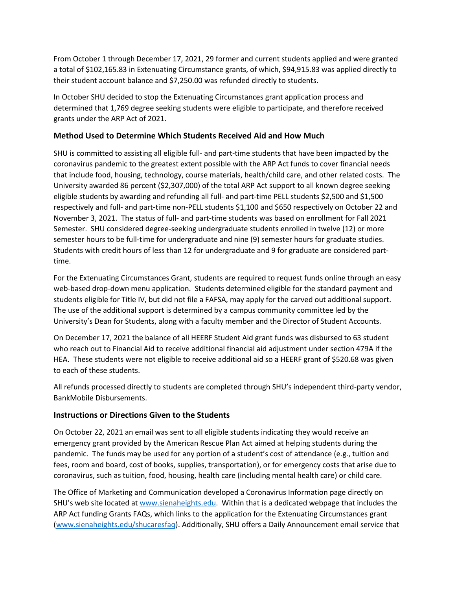From October 1 through December 17, 2021, 29 former and current students applied and were granted a total of \$102,165.83 in Extenuating Circumstance grants, of which, \$94,915.83 was applied directly to their student account balance and \$7,250.00 was refunded directly to students.

In October SHU decided to stop the Extenuating Circumstances grant application process and determined that 1,769 degree seeking students were eligible to participate, and therefore received grants under the ARP Act of 2021.

### **Method Used to Determine Which Students Received Aid and How Much**

SHU is committed to assisting all eligible full- and part-time students that have been impacted by the coronavirus pandemic to the greatest extent possible with the ARP Act funds to cover financial needs that include food, housing, technology, course materials, health/child care, and other related costs. The University awarded 86 percent (\$2,307,000) of the total ARP Act support to all known degree seeking eligible students by awarding and refunding all full- and part-time PELL students \$2,500 and \$1,500 respectively and full- and part-time non-PELL students \$1,100 and \$650 respectively on October 22 and November 3, 2021. The status of full- and part-time students was based on enrollment for Fall 2021 Semester. SHU considered degree-seeking undergraduate students enrolled in twelve (12) or more semester hours to be full-time for undergraduate and nine (9) semester hours for graduate studies. Students with credit hours of less than 12 for undergraduate and 9 for graduate are considered parttime.

For the Extenuating Circumstances Grant, students are required to request funds online through an easy web-based drop-down menu application. Students determined eligible for the standard payment and students eligible for Title IV, but did not file a FAFSA, may apply for the carved out additional support. The use of the additional support is determined by a campus community committee led by the University's Dean for Students, along with a faculty member and the Director of Student Accounts.

On December 17, 2021 the balance of all HEERF Student Aid grant funds was disbursed to 63 student who reach out to Financial Aid to receive additional financial aid adjustment under section 479A if the HEA. These students were not eligible to receive additional aid so a HEERF grant of \$520.68 was given to each of these students.

All refunds processed directly to students are completed through SHU's independent third-party vendor, BankMobile Disbursements.

### **Instructions or Directions Given to the Students**

On October 22, 2021 an email was sent to all eligible students indicating they would receive an emergency grant provided by the American Rescue Plan Act aimed at helping students during the pandemic. The funds may be used for any portion of a student's cost of attendance (e.g., tuition and fees, room and board, cost of books, supplies, transportation), or for emergency costs that arise due to coronavirus, such as tuition, food, housing, health care (including mental health care) or child care.

The Office of Marketing and Communication developed a Coronavirus Information page directly on SHU's web site located a[t www.sienaheights.edu.](http://www.sienaheights.edu/) Within that is a dedicated webpage that includes the ARP Act funding Grants FAQs, which links to the application for the Extenuating Circumstances grant [\(www.sienaheights.edu/shucaresfaq\)](http://www.sienaheights.edu/shucaresfaq). Additionally, SHU offers a Daily Announcement email service that